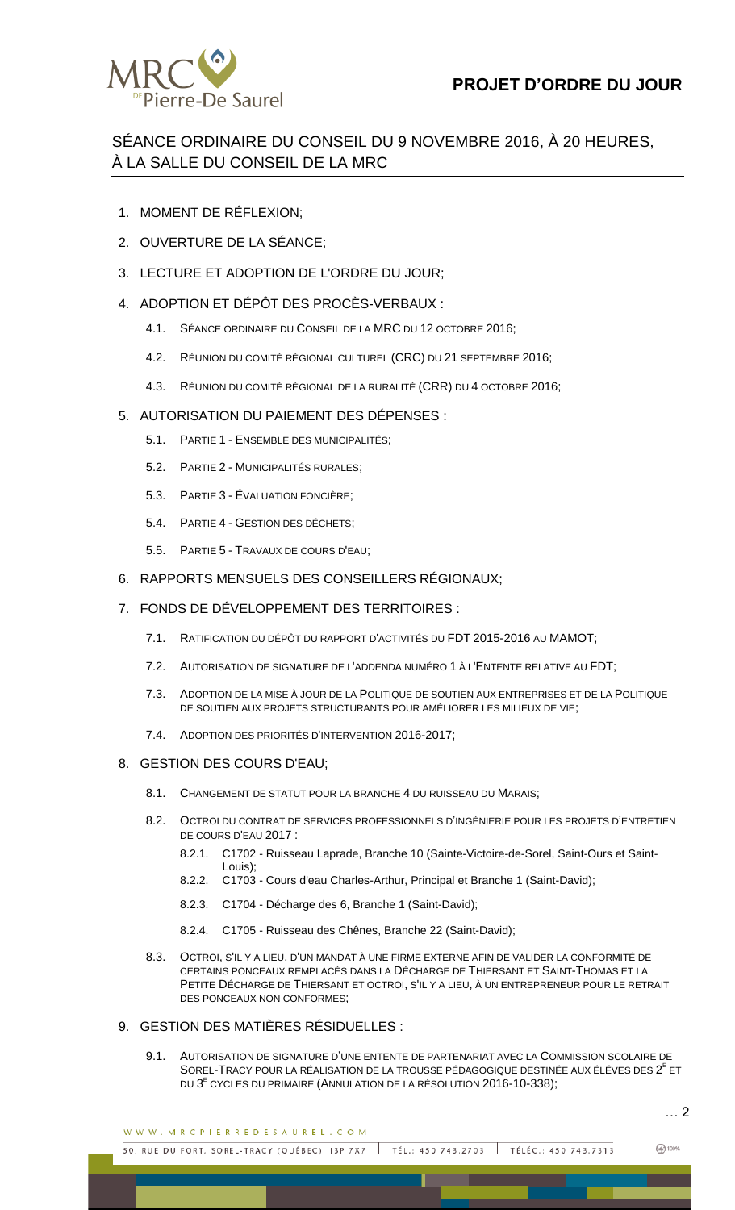

## SÉANCE ORDINAIRE DU CONSEIL DU 9 NOVEMBRE 2016, À 20 HEURES, À LA SALLE DU CONSEIL DE LA MRC

- 1. MOMENT DE RÉFLEXION;
- 2. OUVERTURE DE LA SÉANCE;
- 3. LECTURE ET ADOPTION DE L'ORDRE DU JOUR;
- 4. ADOPTION ET DÉPÔT DES PROCÈS-VERBAUX :
	- 4.1. SÉANCE ORDINAIRE DU CONSEIL DE LA MRC DU 12 OCTOBRE 2016;
	- 4.2. RÉUNION DU COMITÉ RÉGIONAL CULTUREL (CRC) DU 21 SEPTEMBRE 2016;
	- 4.3. RÉUNION DU COMITÉ RÉGIONAL DE LA RURALITÉ (CRR) DU 4 OCTOBRE 2016;

## 5. AUTORISATION DU PAIEMENT DES DÉPENSES :

- 5.1. PARTIE 1 ENSEMBLE DES MUNICIPALITÉS;
- 5.2. PARTIE 2 MUNICIPALITÉS RURALES;
- 5.3. PARTIE 3 ÉVALUATION FONCIÈRE;
- 5.4. PARTIE 4 GESTION DES DÉCHETS;
- 5.5. PARTIE 5 TRAVAUX DE COURS D'EAU;
- 6. RAPPORTS MENSUELS DES CONSEILLERS RÉGIONAUX;

## 7. FONDS DE DÉVELOPPEMENT DES TERRITOIRES :

- 7.1. RATIFICATION DU DÉPÔT DU RAPPORT D'ACTIVITÉS DU FDT 2015-2016 AU MAMOT;
- 7.2. AUTORISATION DE SIGNATURE DE L'ADDENDA NUMÉRO 1 À L'ENTENTE RELATIVE AU FDT;
- 7.3. ADOPTION DE LA MISE À JOUR DE LA POLITIQUE DE SOUTIEN AUX ENTREPRISES ET DE LA POLITIQUE DE SOUTIEN AUX PROJETS STRUCTURANTS POUR AMÉLIORER LES MILIEUX DE VIE;
- 7.4. ADOPTION DES PRIORITÉS D'INTERVENTION 2016-2017;
- 8. GESTION DES COURS D'EAU;
	- 8.1. CHANGEMENT DE STATUT POUR LA BRANCHE 4 DU RUISSEAU DU MARAIS;
	- 8.2. OCTROI DU CONTRAT DE SERVICES PROFESSIONNELS D'INGÉNIERIE POUR LES PROJETS D'ENTRETIEN DE COURS D'EAU 2017 :
		- 8.2.1. C1702 Ruisseau Laprade, Branche 10 (Sainte-Victoire-de-Sorel, Saint-Ours et Saint-Louis);
		- 8.2.2. C1703 Cours d'eau Charles-Arthur, Principal et Branche 1 (Saint-David);
		- 8.2.3. C1704 Décharge des 6, Branche 1 (Saint-David);
		- 8.2.4. C1705 Ruisseau des Chênes, Branche 22 (Saint-David);
	- 8.3. OCTROI, S'IL Y A LIEU, D'UN MANDAT À UNE FIRME EXTERNE AFIN DE VALIDER LA CONFORMITÉ DE CERTAINS PONCEAUX REMPLACÉS DANS LA DÉCHARGE DE THIERSANT ET SAINT-THOMAS ET LA PETITE DÉCHARGE DE THIERSANT ET OCTROI, S'IL Y A LIEU, À UN ENTREPRENEUR POUR LE RETRAIT DES PONCEAUX NON CONFORMES;

## 9. GESTION DES MATIÈRES RÉSIDUELLES :

9.1. AUTORISATION DE SIGNATURE D'UNE ENTENTE DE PARTENARIAT AVEC LA COMMISSION SCOLAIRE DE SOREL-TRACY POUR LA RÉALISATION DE LA TROUSSE PÉDAGOGIQUE DESTINÉE AUX ÉLÉVES DES 2<sup>E</sup> ET DU 3<sup>E</sup> CYCLES DU PRIMAIRE (ANNULATION DE LA RÉSOLUTION 2016-10-338);

… 2